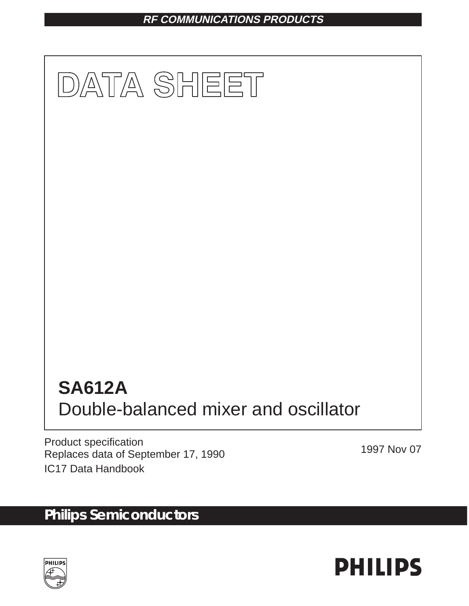## **RF COMMUNICATIONS PRODUCTS**



Product specification Replaces data of September 17, 1990 IC17 Data Handbook

# **Philips Semiconductors**



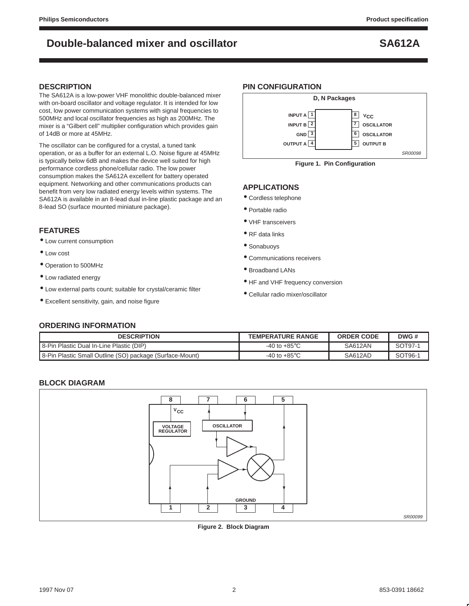#### **DESCRIPTION**

The SA612A is a low-power VHF monolithic double-balanced mixer with on-board oscillator and voltage regulator. It is intended for low cost, low power communication systems with signal frequencies to 500MHz and local oscillator frequencies as high as 200MHz. The mixer is a "Gilbert cell" multiplier configuration which provides gain of 14dB or more at 45MHz.

The oscillator can be configured for a crystal, a tuned tank operation, or as a buffer for an external L.O. Noise figure at 45MHz is typically below 6dB and makes the device well suited for high performance cordless phone/cellular radio. The low power consumption makes the SA612A excellent for battery operated equipment. Networking and other communications products can benefit from very low radiated energy levels within systems. The SA612A is available in an 8-lead dual in-line plastic package and an 8-lead SO (surface mounted miniature package).

#### **FEATURES**

- Low current consumption
- Low cost
- Operation to 500MHz
- Low radiated energy
- Low external parts count; suitable for crystal/ceramic filter
- Excellent sensitivity, gain, and noise figure

### **PIN CONFIGURATION**





### **APPLICATIONS**

- Cordless telephone
- Portable radio
- VHF transceivers
- RF data links
- Sonabuoys
- Communications receivers
- Broadband LANs
- HF and VHF frequency conversion
- Cellular radio mixer/oscillator

#### **ORDERING INFORMATION**

| <b>DESCRIPTION</b>                                       | <b>TEMPERATURE RANGE</b>        | <b>ORDER CODE</b> | DWG#    |  |
|----------------------------------------------------------|---------------------------------|-------------------|---------|--|
| 8-Pin Plastic Dual In-Line Plastic (DIP)                 | -40 to +85 $\mathrm{^{\circ}C}$ | <b>SA612AN</b>    | SOT97-1 |  |
| 8-Pin Plastic Small Outline (SO) package (Surface-Mount) | -40 to +85 $^{\circ}$ C         | SA612AD           | SOT96-1 |  |

### **BLOCK DIAGRAM**



**Figure 2. Block Diagram**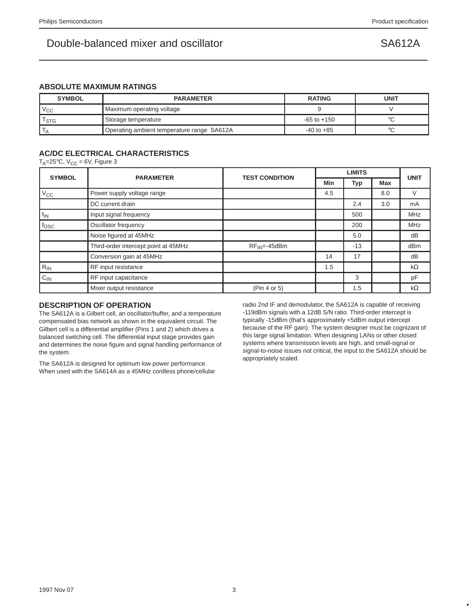### **ABSOLUTE MAXIMUM RATINGS**

| <b>SYMBOL</b>                           | <b>PARAMETER</b>                           | <b>RATING</b>   | UNIT |
|-----------------------------------------|--------------------------------------------|-----------------|------|
| $V_{\rm CC}$                            | Maximum operating voltage                  |                 |      |
| Storage temperature<br><sup>I</sup> STG |                                            | $-65$ to $+150$ |      |
|                                         | Operating ambient temperature range SA612A | $-40$ to $+85$  |      |

## **AC/DC ELECTRICAL CHARACTERISTICS**

T<sub>A</sub>=25 $\degree$ C, V<sub>CC</sub> = 6V, Figure 3

| <b>SYMBOL</b>    | <b>PARAMETER</b>                     | <b>TEST CONDITION</b> |     | <b>UNIT</b> |            |            |  |
|------------------|--------------------------------------|-----------------------|-----|-------------|------------|------------|--|
|                  |                                      |                       | Min | Typ         | <b>Max</b> |            |  |
| $V_{\rm CC}$     | Power supply voltage range           |                       | 4.5 |             | 8.0        | V          |  |
|                  | DC current drain                     |                       |     | 2.4         | 3.0        | mA         |  |
| $f_{IN}$         | Input signal frequency               |                       |     | 500         |            | <b>MHz</b> |  |
| f <sub>OSC</sub> | Oscillator frequency                 |                       |     | 200         |            | <b>MHz</b> |  |
|                  | Noise figured at 45MHz               |                       |     | 5.0         |            | dB         |  |
|                  | Third-order intercept point at 45MHz | $RF_{IN} = -45dBm$    |     | $-13$       |            | dBm        |  |
|                  | Conversion gain at 45MHz             |                       | 14  | 17          |            | dB         |  |
| $R_{IN}$         | RF input resistance                  |                       | 1.5 |             |            | $k\Omega$  |  |
| $C_{IN}$         | RF input capacitance                 |                       |     | 3           |            | pF         |  |
|                  | Mixer output resistance              | (Pin 4 or 5)          |     | 1.5         |            | $k\Omega$  |  |

#### **DESCRIPTION OF OPERATION**

The SA612A is a Gilbert cell, an oscillator/buffer, and a temperature compensated bias network as shown in the equivalent circuit. The Gilbert cell is a differential amplifier (Pins 1 and 2) which drives a balanced switching cell. The differential input stage provides gain and determines the noise figure and signal handling performance of the system.

The SA612A is designed for optimum low power performance. When used with the SA614A as a 45MHz cordless phone/cellular radio 2nd IF and demodulator, the SA612A is capable of receiving -119dBm signals with a 12dB S/N ratio. Third-order intercept is typically -15dBm (that's approximately +5dBm output intercept because of the RF gain). The system designer must be cognizant of this large signal limitation. When designing LANs or other closed systems where transmission levels are high, and small-signal or signal-to-noise issues not critical, the input to the SA612A should be appropriately scaled.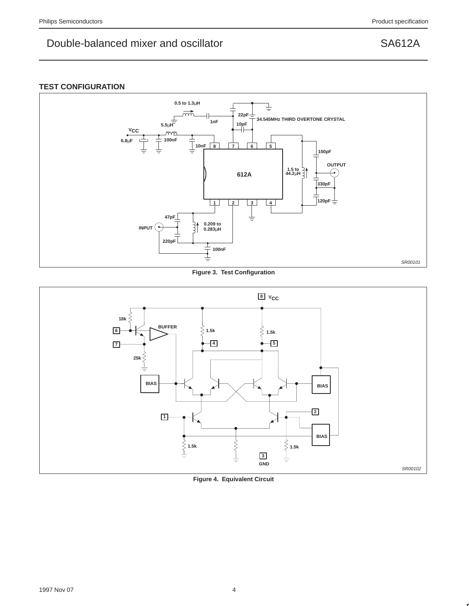## **TEST CONFIGURATION**



**Figure 3. Test Configuration**



**Figure 4. Equivalent Circuit**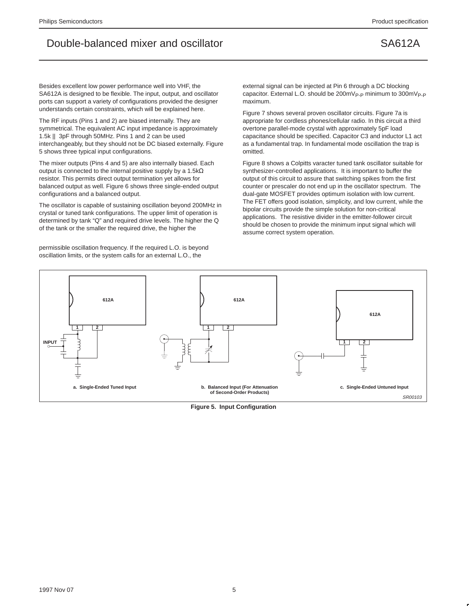Besides excellent low power performance well into VHF, the SA612A is designed to be flexible. The input, output, and oscillator ports can support a variety of configurations provided the designer understands certain constraints, which will be explained here.

The RF inputs (Pins 1 and 2) are biased internally. They are symmetrical. The equivalent AC input impedance is approximately 1.5k || 3pF through 50MHz. Pins 1 and 2 can be used interchangeably, but they should not be DC biased externally. Figure 5 shows three typical input configurations.

The mixer outputs (Pins 4 and 5) are also internally biased. Each output is connected to the internal positive supply by a 1.5kΩ resistor. This permits direct output termination yet allows for balanced output as well. Figure 6 shows three single-ended output configurations and a balanced output.

The oscillator is capable of sustaining oscillation beyond 200MHz in crystal or tuned tank configurations. The upper limit of operation is determined by tank "Q" and required drive levels. The higher the Q of the tank or the smaller the required drive, the higher the

permissible oscillation frequency. If the required L.O. is beyond oscillation limits, or the system calls for an external L.O., the

external signal can be injected at Pin 6 through a DC blocking capacitor. External L.O. should be  $200 \text{mV}_{\text{P-P}}$  minimum to  $300 \text{mV}_{\text{P-P}}$ maximum.

Figure 7 shows several proven oscillator circuits. Figure 7a is appropriate for cordless phones/cellular radio. In this circuit a third overtone parallel-mode crystal with approximately 5pF load capacitance should be specified. Capacitor C3 and inductor L1 act as a fundamental trap. In fundamental mode oscillation the trap is omitted.

Figure 8 shows a Colpitts varacter tuned tank oscillator suitable for synthesizer-controlled applications. It is important to buffer the output of this circuit to assure that switching spikes from the first counter or prescaler do not end up in the oscillator spectrum. The dual-gate MOSFET provides optimum isolation with low current. The FET offers good isolation, simplicity, and low current, while the bipolar circuits provide the simple solution for non-critical applications. The resistive divider in the emitter-follower circuit should be chosen to provide the minimum input signal which will assume correct system operation.



**Figure 5. Input Configuration**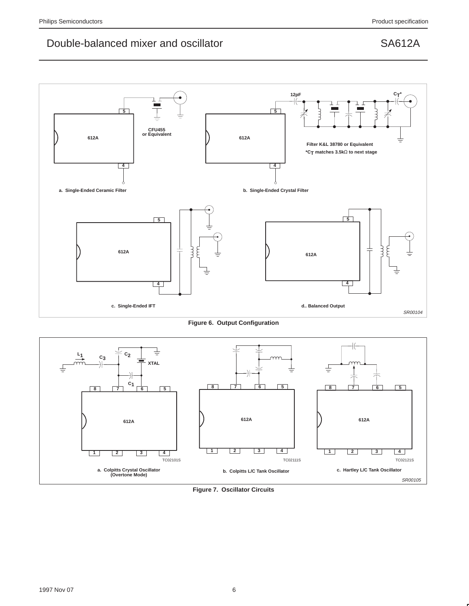

**Figure 6. Output Configuration**



**Figure 7. Oscillator Circuits**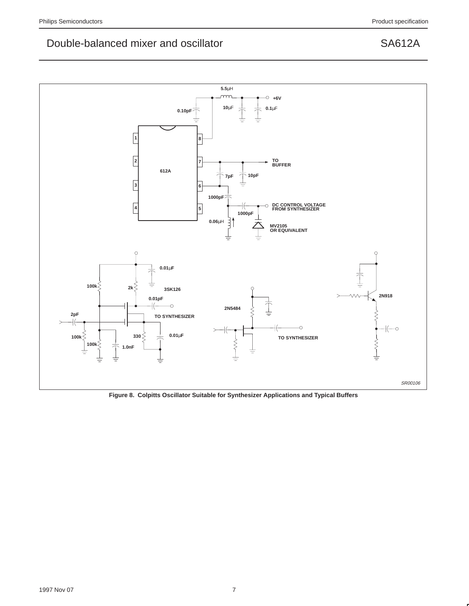

**Figure 8. Colpitts Oscillator Suitable for Synthesizer Applications and Typical Buffers**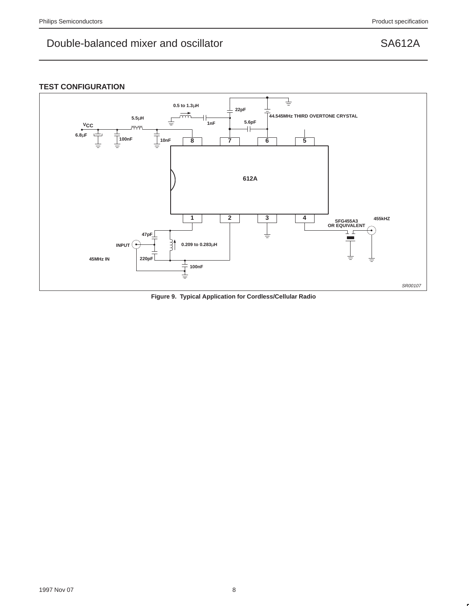## **TEST CONFIGURATION**



**Figure 9. Typical Application for Cordless/Cellular Radio**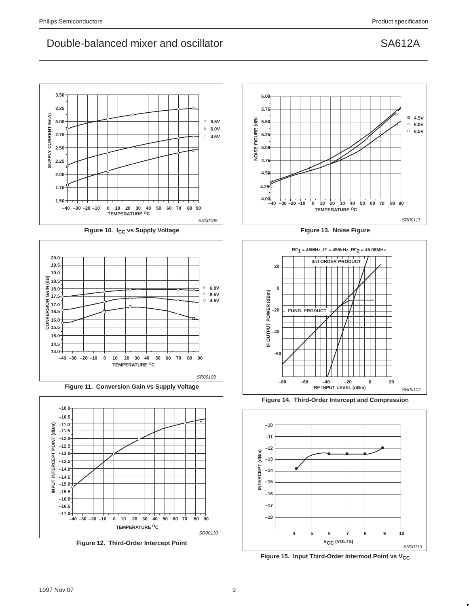

Figure 10. I<sub>CC</sub> vs Supply Voltage



**Figure 11. Conversion Gain vs Supply Voltage**



**Figure 12. Third-Order Intercept Point**



**Figure 13. Noise Figure**



**Figure 14. Third-Order Intercept and Compression**



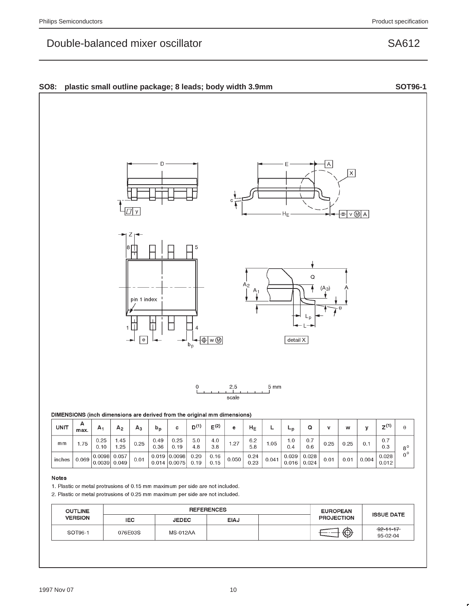## Double-balanced mixer oscillator

SA612

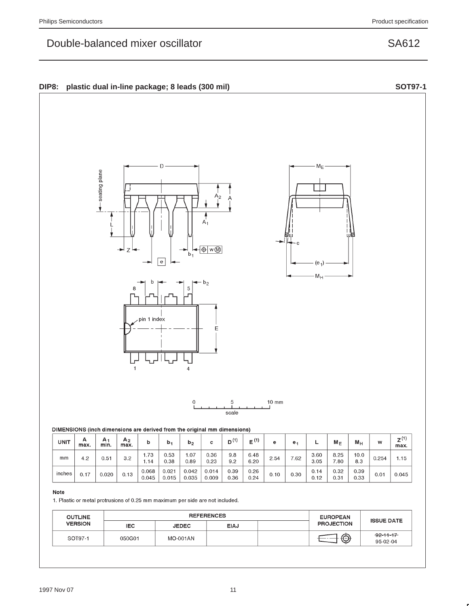## Double-balanced mixer oscillator

ensiq piane





pin 1 index

D



 $10 \text{ mm}$  $\mathbf 5$  $scale$ 

E

4

|  |  | DIMENSIONS (inch dimensions are derived from the original mm dimensions) |  |
|--|--|--------------------------------------------------------------------------|--|
|--|--|--------------------------------------------------------------------------|--|

| UNIT   | А<br>max. | A<br>min. | A <sub>2</sub><br>max. | b              | b,             | b <sub>2</sub> |                | 44'<br>יי ס  | E <sup>(1</sup> | е    | е.   | -            | $M_{E}$      | мн           | w     | z <sup>(1</sup><br>max. |
|--------|-----------|-----------|------------------------|----------------|----------------|----------------|----------------|--------------|-----------------|------|------|--------------|--------------|--------------|-------|-------------------------|
| mm     | 4.2       | 0.51      | 3.2                    | 1.73<br>.14    | 0.53<br>0.38   | .07<br>0.89    | 0.36<br>0.23   | 9.8<br>9.2   | 6.48<br>6.20    | 2.54 | 7.62 | 3.60<br>3.05 | 8.25<br>7.80 | 10.0<br>8.3  | 0.254 | 1.15                    |
| inches | 0.17      | 0.020     | 0.13                   | 0.068<br>0.045 | 0.021<br>0.015 | 0.042<br>0.035 | 0.014<br>0.009 | 0.39<br>0.36 | 0.26<br>0.24    | 0.10 | 0.30 | 0.14<br>0.12 | 0.32<br>0.31 | 0.39<br>0.33 | 0.01  | 0.045                   |

### Note

1. Plastic or metal protrusions of 0.25 mm maximum per side are not included.

| <b>OUTLINE</b> |            | <b>REFERENCES</b> | <b>EUROPEAN</b> | <b>ISSUE DATE</b> |                   |                             |
|----------------|------------|-------------------|-----------------|-------------------|-------------------|-----------------------------|
| <b>VERSION</b> | <b>IEC</b> | <b>JEDEC</b>      | <b>EIAJ</b>     |                   | <b>PROJECTION</b> |                             |
| SOT97-1        | 050G01     | <b>MO-001AN</b>   |                 |                   |                   | $-92 - 11 - 17$<br>95-02-04 |